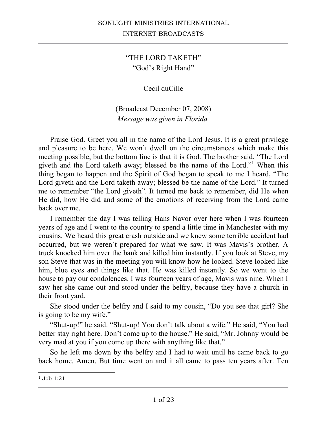## "THE LORD TAKETH" "God's Right Hand"

## Cecil duCille

## (Broadcast December 07, 2008) *Message was given in Florida.*

Praise God. Greet you all in the name of the Lord Jesus. It is a great privilege and pleasure to be here. We won't dwell on the circumstances which make this meeting possible, but the bottom line is that it is God. The brother said, "The Lord giveth and the Lord taketh away; blessed be the name of the Lord."<sup>1</sup> When this thing began to happen and the Spirit of God began to speak to me I heard, "The Lord giveth and the Lord taketh away; blessed be the name of the Lord." It turned me to remember "the Lord giveth". It turned me back to remember, did He when He did, how He did and some of the emotions of receiving from the Lord came back over me.

I remember the day I was telling Hans Navor over here when I was fourteen years of age and I went to the country to spend a little time in Manchester with my cousins. We heard this great crash outside and we knew some terrible accident had occurred, but we weren't prepared for what we saw. It was Mavis's brother. A truck knocked him over the bank and killed him instantly. If you look at Steve, my son Steve that was in the meeting you will know how he looked. Steve looked like him, blue eyes and things like that. He was killed instantly. So we went to the house to pay our condolences. I was fourteen years of age, Mavis was nine. When I saw her she came out and stood under the belfry, because they have a church in their front yard.

She stood under the belfry and I said to my cousin, "Do you see that girl? She is going to be my wife."

"Shut-up!" he said. "Shut-up! You don't talk about a wife." He said, "You had better stay right here. Don't come up to the house." He said, "Mr. Johnny would be very mad at you if you come up there with anything like that."

So he left me down by the belfry and I had to wait until he came back to go back home. Amen. But time went on and it all came to pass ten years after. Ten

<sup>1</sup> Job 1:21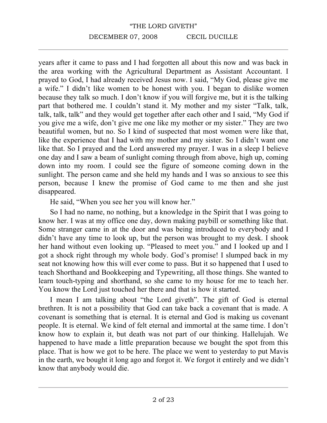years after it came to pass and I had forgotten all about this now and was back in the area working with the Agricultural Department as Assistant Accountant. I prayed to God, I had already received Jesus now. I said, "My God, please give me a wife." I didn't like women to be honest with you. I began to dislike women because they talk so much. I don't know if you will forgive me, but it is the talking part that bothered me. I couldn't stand it. My mother and my sister "Talk, talk, talk, talk, talk" and they would get together after each other and I said, "My God if you give me a wife, don't give me one like my mother or my sister." They are two beautiful women, but no. So I kind of suspected that most women were like that, like the experience that I had with my mother and my sister. So I didn't want one like that. So I prayed and the Lord answered my prayer. I was in a sleep I believe one day and I saw a beam of sunlight coming through from above, high up, coming down into my room. I could see the figure of someone coming down in the sunlight. The person came and she held my hands and I was so anxious to see this person, because I knew the promise of God came to me then and she just disappeared.

He said, "When you see her you will know her."

So I had no name, no nothing, but a knowledge in the Spirit that I was going to know her. I was at my office one day, down making paybill or something like that. Some stranger came in at the door and was being introduced to everybody and I didn't have any time to look up, but the person was brought to my desk. I shook her hand without even looking up. "Pleased to meet you." and I looked up and I got a shock right through my whole body. God's promise! I slumped back in my seat not knowing how this will ever come to pass. But it so happened that I used to teach Shorthand and Bookkeeping and Typewriting, all those things. She wanted to learn touch-typing and shorthand, so she came to my house for me to teach her. You know the Lord just touched her there and that is how it started.

I mean I am talking about "the Lord giveth". The gift of God is eternal brethren. It is not a possibility that God can take back a covenant that is made. A covenant is something that is eternal. It is eternal and God is making us covenant people. It is eternal. We kind of felt eternal and immortal at the same time. I don't know how to explain it, but death was not part of our thinking. Hallelujah. We happened to have made a little preparation because we bought the spot from this place. That is how we got to be here. The place we went to yesterday to put Mavis in the earth, we bought it long ago and forgot it. We forgot it entirely and we didn't know that anybody would die.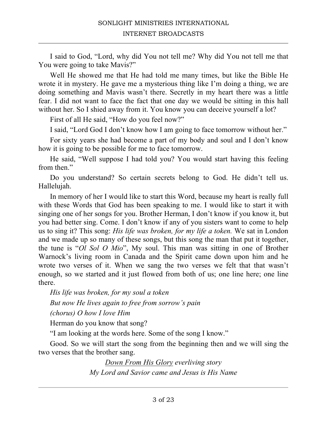I said to God, "Lord, why did You not tell me? Why did You not tell me that You were going to take Mavis?"

Well He showed me that He had told me many times, but like the Bible He wrote it in mystery. He gave me a mysterious thing like I'm doing a thing, we are doing something and Mavis wasn't there. Secretly in my heart there was a little fear. I did not want to face the fact that one day we would be sitting in this hall without her. So I shied away from it. You know you can deceive yourself a lot?

First of all He said, "How do you feel now?"

I said, "Lord God I don't know how I am going to face tomorrow without her."

For sixty years she had become a part of my body and soul and I don't know how it is going to be possible for me to face tomorrow.

He said, "Well suppose I had told you? You would start having this feeling from then."

Do you understand? So certain secrets belong to God. He didn't tell us. Hallelujah.

In memory of her I would like to start this Word, because my heart is really full with these Words that God has been speaking to me. I would like to start it with singing one of her songs for you. Brother Herman, I don't know if you know it, but you had better sing. Come. I don't know if any of you sisters want to come to help us to sing it? This song: *His life was broken, for my life a token.* We sat in London and we made up so many of these songs, but this song the man that put it together, the tune is "*Ol Sol O Mio*", My soul. This man was sitting in one of Brother Warnock's living room in Canada and the Spirit came down upon him and he wrote two verses of it. When we sang the two verses we felt that that wasn't enough, so we started and it just flowed from both of us; one line here; one line there.

*His life was broken, for my soul a token But now He lives again to free from sorrow's pain (chorus) O how I love Him*

Herman do you know that song?

"I am looking at the words here. Some of the song I know."

Good. So we will start the song from the beginning then and we will sing the two verses that the brother sang.

> *Down From His Glory everliving story My Lord and Savior came and Jesus is His Name*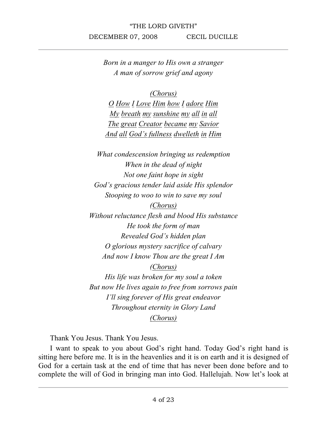*Born in a manger to His own a stranger A man of sorrow grief and agony*

*(Chorus)*

*O How I Love Him how I adore Him My breath my sunshine my all in all The great Creator became my Savior And all God's fullness dwelleth in Him*

*What condescension bringing us redemption When in the dead of night Not one faint hope in sight God's gracious tender laid aside His splendor Stooping to woo to win to save my soul*

*(Chorus) Without reluctance flesh and blood His substance He took the form of man Revealed God's hidden plan O glorious mystery sacrifice of calvary And now I know Thou are the great I Am (Chorus)*

*His life was broken for my soul a token But now He lives again to free from sorrows pain I'll sing forever of His great endeavor Throughout eternity in Glory Land (Chorus)*

Thank You Jesus. Thank You Jesus.

I want to speak to you about God's right hand. Today God's right hand is sitting here before me. It is in the heavenlies and it is on earth and it is designed of God for a certain task at the end of time that has never been done before and to complete the will of God in bringing man into God. Hallelujah. Now let's look at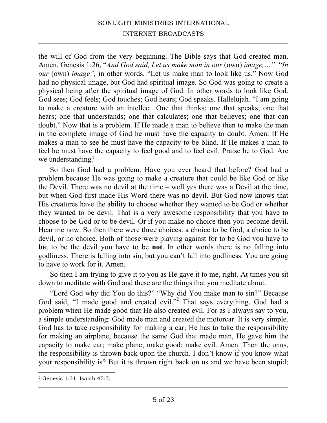## SONLIGHT MINISTRIES INTERNATIONAL INTERNET BROADCASTS

the will of God from the very beginning. The Bible says that God created man. Amen. Genesis 1:26, "*And God said, Let us make man in our* (own) *image,…"* "*In our* (own) *image",* in other words, "Let us make man to look like us." Now God had no physical image, but God had spiritual image. So God was going to create a physical being after the spiritual image of God. In other words to look like God. God sees; God feels; God touches; God hears; God speaks. Hallelujah. "I am going to make a creature with an intellect. One that thinks; one that speaks; one that hears; one that understands; one that calculates; one that believes; one that can doubt." Now that is a problem. If He made a man to believe then to make the man in the complete image of God he must have the capacity to doubt. Amen. If He makes a man to see he must have the capacity to be blind. If He makes a man to feel he must have the capacity to feel good and to feel evil. Praise be to God. Are we understanding?

So then God had a problem. Have you ever heard that before? God had a problem because He was going to make a creature that could be like God or like the Devil. There was no devil at the time – well yes there was a Devil at the time, but when God first made His Word there was no devil. But God now knows that His creatures have the ability to choose whether they wanted to be God or whether they wanted to be devil. That is a very awesome responsibility that you have to choose to be God or to be devil. Or if you make no choice then you become devil. Hear me now. So then there were three choices: a choice to be God, a choice to be devil, or no choice. Both of those were playing against for to be God you have to **be**; to be the devil you have to be **not**. In other words there is no falling into godliness. There is falling into sin, but you can't fall into godliness. You are going to have to work for it. Amen.

So then I am trying to give it to you as He gave it to me, right. At times you sit down to meditate with God and these are the things that you meditate about.

"Lord God why did You do this?" "Why did You make man to sin?" Because God said, "I made good and created evil."<sup>2</sup> That says everything. God had a problem when He made good that He also created evil. For as I always say to you, a simple understanding: God made man and created the motorcar. It is very simple. God has to take responsibility for making a car; He has to take the responsibility for making an airplane, because the same God that made man, He gave him the capacity to make car; make plane; make good; make evil. Amen. Then the onus, the responsibility is thrown back upon the church. I don't know if you know what your responsibility is? But it is thrown right back on us and we have been stupid;

<sup>2</sup> Genesis 1:31; Isaiah 45:7;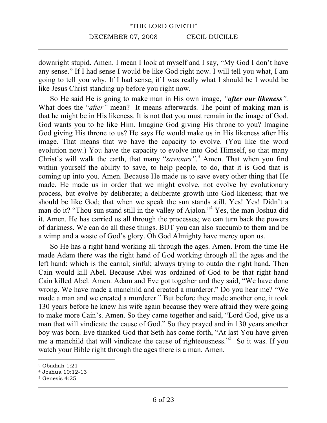downright stupid. Amen. I mean I look at myself and I say, "My God I don't have any sense." If I had sense I would be like God right now. I will tell you what, I am going to tell you why. If I had sense, if I was really what I should be I would be like Jesus Christ standing up before you right now.

So He said He is going to make man in His own image, *"after our likeness".*  What does the "*after*" mean? It means afterwards. The point of making man is that he might be in His likeness. It is not that you must remain in the image of God. God wants you to be like Him. Imagine God giving His throne to you? Imagine God giving His throne to us? He says He would make us in His likeness after His image. That means that we have the capacity to evolve. (You like the word evolution now.) You have the capacity to evolve into God Himself, so that many Christ's will walk the earth, that many "*saviours"*. <sup>3</sup> Amen. That when you find within yourself the ability to save, to help people, to do, that it is God that is coming up into you. Amen. Because He made us to save every other thing that He made. He made us in order that we might evolve, not evolve by evolutionary process, but evolve by deliberate; a deliberate growth into God-likeness; that we should be like God; that when we speak the sun stands still. Yes! Yes! Didn't a man do it? "Thou sun stand still in the valley of Ajalon."4 Yes, the man Joshua did it. Amen. He has carried us all through the processes; we can turn back the powers of darkness. We can do all these things. BUT you can also succumb to them and be a wimp and a waste of God's glory. Oh God Almighty have mercy upon us.

So He has a right hand working all through the ages. Amen. From the time He made Adam there was the right hand of God working through all the ages and the left hand: which is the carnal; sinful; always trying to outdo the right hand. Then Cain would kill Abel. Because Abel was ordained of God to be that right hand Cain killed Abel. Amen. Adam and Eve got together and they said, "We have done wrong. We have made a manchild and created a murderer." Do you hear me? "We made a man and we created a murderer." But before they made another one, it took 130 years before he knew his wife again because they were afraid they were going to make more Cain's. Amen. So they came together and said, "Lord God, give us a man that will vindicate the cause of God." So they prayed and in 130 years another boy was born. Eve thanked God that Seth has come forth, "At last You have given me a manchild that will vindicate the cause of righteousness."<sup>5</sup> So it was. If you watch your Bible right through the ages there is a man. Amen.

<sup>3</sup> Obadiah 1:21

<sup>4</sup> Joshua 10:12-13

<sup>5</sup> Genesis 4:25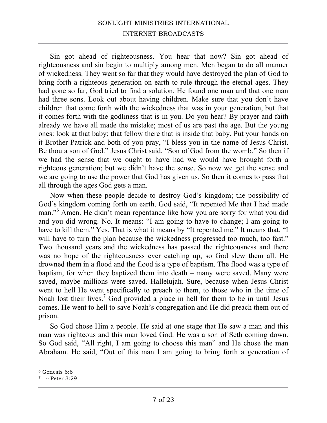### SONLIGHT MINISTRIES INTERNATIONAL INTERNET BROADCASTS

Sin got ahead of righteousness. You hear that now? Sin got ahead of righteousness and sin begin to multiply among men. Men began to do all manner of wickedness. They went so far that they would have destroyed the plan of God to bring forth a righteous generation on earth to rule through the eternal ages. They had gone so far, God tried to find a solution. He found one man and that one man had three sons. Look out about having children. Make sure that you don't have children that come forth with the wickedness that was in your generation, but that it comes forth with the godliness that is in you. Do you hear? By prayer and faith already we have all made the mistake; most of us are past the age. But the young ones: look at that baby; that fellow there that is inside that baby. Put your hands on it Brother Patrick and both of you pray, "I bless you in the name of Jesus Christ. Be thou a son of God." Jesus Christ said, "Son of God from the womb." So then if we had the sense that we ought to have had we would have brought forth a righteous generation; but we didn't have the sense. So now we get the sense and we are going to use the power that God has given us. So then it comes to pass that all through the ages God gets a man.

Now when these people decide to destroy God's kingdom; the possibility of God's kingdom coming forth on earth, God said, "It repented Me that I had made man."<sup>6</sup> Amen. He didn't mean repentance like how you are sorry for what you did and you did wrong. No. It means: "I am going to have to change; I am going to have to kill them." Yes. That is what it means by "It repented me." It means that, "I will have to turn the plan because the wickedness progressed too much, too fast." Two thousand years and the wickedness has passed the righteousness and there was no hope of the righteousness ever catching up, so God slew them all. He drowned them in a flood and the flood is a type of baptism. The flood was a type of baptism, for when they baptized them into death – many were saved. Many were saved, maybe millions were saved. Hallelujah. Sure, because when Jesus Christ went to hell He went specifically to preach to them, to those who in the time of Noah lost their lives.<sup>7</sup> God provided a place in hell for them to be in until Jesus comes. He went to hell to save Noah's congregation and He did preach them out of prison.

So God chose Him a people. He said at one stage that He saw a man and this man was righteous and this man loved God. He was a son of Seth coming down. So God said, "All right, I am going to choose this man" and He chose the man Abraham. He said, "Out of this man I am going to bring forth a generation of

<sup>6</sup> Genesis 6:6

<sup>7</sup> 1st Peter 3:29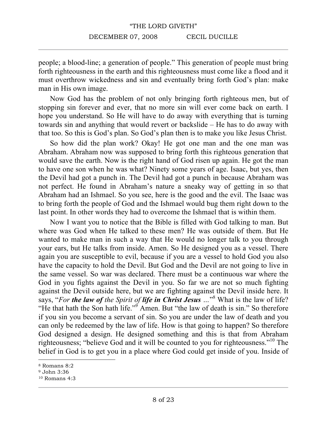people; a blood-line; a generation of people." This generation of people must bring forth righteousness in the earth and this righteousness must come like a flood and it must overthrow wickedness and sin and eventually bring forth God's plan: make man in His own image.

Now God has the problem of not only bringing forth righteous men, but of stopping sin forever and ever, that no more sin will ever come back on earth. I hope you understand. So He will have to do away with everything that is turning towards sin and anything that would revert or backslide – He has to do away with that too. So this is God's plan. So God's plan then is to make you like Jesus Christ.

So how did the plan work? Okay! He got one man and the one man was Abraham. Abraham now was supposed to bring forth this righteous generation that would save the earth. Now is the right hand of God risen up again. He got the man to have one son when he was what? Ninety some years of age. Isaac, but yes, then the Devil had got a punch in. The Devil had got a punch in because Abraham was not perfect. He found in Abraham's nature a sneaky way of getting in so that Abraham had an Ishmael. So you see, here is the good and the evil. The Isaac was to bring forth the people of God and the Ishmael would bug them right down to the last point. In other words they had to overcome the Ishmael that is within them.

Now I want you to notice that the Bible is filled with God talking to man. But where was God when He talked to these men? He was outside of them. But He wanted to make man in such a way that He would no longer talk to you through your ears, but He talks from inside. Amen. So He designed you as a vessel. There again you are susceptible to evil, because if you are a vessel to hold God you also have the capacity to hold the Devil. But God and the Devil are not going to live in the same vessel. So war was declared. There must be a continuous war where the God in you fights against the Devil in you. So far we are not so much fighting against the Devil outside here, but we are fighting against the Devil inside here. It says, "*For the law of the Spirit of life in Christ Jesus …*" <sup>8</sup> What is the law of life? "He that hath the Son hath life."<sup>9</sup> Amen. But "the law of death is sin." So therefore if you sin you become a servant of sin. So you are under the law of death and you can only be redeemed by the law of life. How is that going to happen? So therefore God designed a design. He designed something and this is that from Abraham righteousness; "believe God and it will be counted to you for righteousness."10 The belief in God is to get you in a place where God could get inside of you. Inside of

<sup>8</sup> Romans 8:2

<sup>9</sup> John 3:36

<sup>10</sup> Romans 4:3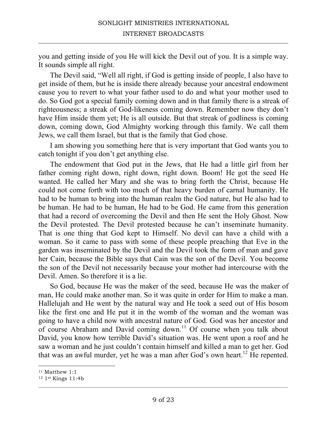you and getting inside of you He will kick the Devil out of you. It is a simple way. It sounds simple all right.

The Devil said, "Well all right, if God is getting inside of people, I also have to get inside of them, but he is inside there already because your ancestral endowment cause you to revert to what your father used to do and what your mother used to do. So God got a special family coming down and in that family there is a streak of righteousness; a streak of God-likeness coming down. Remember now they don't have Him inside them yet; He is all outside. But that streak of godliness is coming down, coming down, God Almighty working through this family. We call them Jews, we call them Israel, but that is the family that God chose.

I am showing you something here that is very important that God wants you to catch tonight if you don't get anything else.

The endowment that God put in the Jews, that He had a little girl from her father coming right down, right down, right down. Boom! He got the seed He wanted. He called her Mary and she was to bring forth the Christ, because He could not come forth with too much of that heavy burden of carnal humanity. He had to be human to bring into the human realm the God nature, but He also had to be human. He had to be human, He had to be God. He came from this generation that had a record of overcoming the Devil and then He sent the Holy Ghost. Now the Devil protested. The Devil protested because he can't inseminate humanity. That is one thing that God kept to Himself. No devil can have a child with a woman. So it came to pass with some of these people preaching that Eve in the garden was inseminated by the Devil and the Devil took the form of man and gave her Cain, because the Bible says that Cain was the son of the Devil. You become the son of the Devil not necessarily because your mother had intercourse with the Devil. Amen. So therefore it is a lie.

So God, because He was the maker of the seed, because He was the maker of man, He could make another man. So it was quite in order for Him to make a man. Hallelujah and He went by the natural way and He took a seed out of His bosom like the first one and He put it in the womb of the woman and the woman was going to have a child now with ancestral nature of God. God was her ancestor and of course Abraham and David coming down.<sup>11</sup> Of course when you talk about David, you know how terrible David's situation was. He went upon a roof and he saw a woman and he just couldn't contain himself and killed a man to get her. God that was an awful murder, yet he was a man after God's own heart.<sup>12</sup> He repented.

<sup>11</sup> Matthew 1:1

<sup>12</sup> 1st Kings 11:4b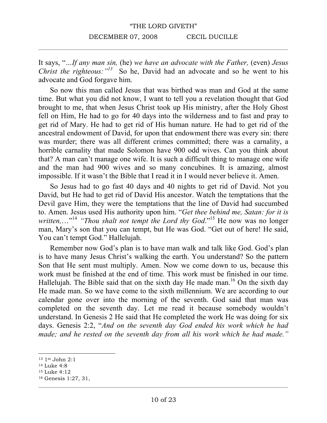It says, "*…If any man sin,* (he) *we have an advocate with the Father,* (even) *Jesus Christ the righteous:*<sup>"<sup>13</sup> So he, David had an advocate and so he went to his</sup> advocate and God forgave him.

So now this man called Jesus that was birthed was man and God at the same time. But what you did not know, I want to tell you a revelation thought that God brought to me, that when Jesus Christ took up His ministry, after the Holy Ghost fell on Him, He had to go for 40 days into the wilderness and to fast and pray to get rid of Mary. He had to get rid of His human nature. He had to get rid of the ancestral endowment of David, for upon that endowment there was every sin: there was murder; there was all different crimes committed; there was a carnality, a horrible carnality that made Solomon have 900 odd wives. Can you think about that? A man can't manage one wife. It is such a difficult thing to manage one wife and the man had 900 wives and so many concubines. It is amazing, almost impossible. If it wasn't the Bible that I read it in I would never believe it. Amen.

So Jesus had to go fast 40 days and 40 nights to get rid of David. Not you David, but He had to get rid of David His ancestor. Watch the temptations that the Devil gave Him, they were the temptations that the line of David had succumbed to. Amen. Jesus used His authority upon him. "*Get thee behind me, Satan: for it is written...*<sup>"14</sup> "*Thou shalt not tempt the Lord thy God*."<sup>15</sup> He now was no longer man, Mary's son that you can tempt, but He was God. "Get out of here! He said, You can't tempt God." Hallelujah.

Remember now God's plan is to have man walk and talk like God. God's plan is to have many Jesus Christ's walking the earth. You understand? So the pattern Son that He sent must multiply. Amen. Now we come down to us, because this work must be finished at the end of time. This work must be finished in our time. Hallelujah. The Bible said that on the sixth day He made man.<sup>16</sup> On the sixth day He made man. So we have come to the sixth millennium. We are according to our calendar gone over into the morning of the seventh. God said that man was completed on the seventh day. Let me read it because somebody wouldn't understand. In Genesis 2 He said that He completed the work He was doing for six days. Genesis 2:2, "*And on the seventh day God ended his work which he had made; and he rested on the seventh day from all his work which he had made."*

 $\overline{a}$ <sup>13</sup> 1st John 2:1

<sup>14</sup> Luke 4:8

<sup>15</sup> Luke 4:12

<sup>16</sup> Genesis 1:27, 31,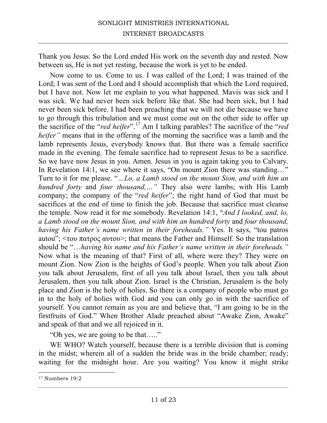Thank you Jesus. So the Lord ended His work on the seventh day and rested. Now between us, He is not yet resting, because the work is yet to be ended.

Now come to us. Come to us. I was called of the Lord; I was trained of the Lord; I was sent of the Lord and I should accomplish that which the Lord required, but I have not. Now let me explain to you what happened. Mavis was sick and I was sick. We had never been sick before like that. She had been sick, but I had never been sick before. I had been preaching that we will not die because we have to go through this tribulation and we must come out on the other side to offer up the sacrifice of the "*red heifer*".<sup>17</sup> Am I talking parables? The sacrifice of the "*red heifer*" means that in the offering of the morning the sacrifice was a lamb and the lamb represents Jesus, everybody knows that. But there was a female sacrifice made in the evening. The female sacrifice had to represent Jesus to be a sacrifice. So we have now Jesus in you. Amen. Jesus in you is again taking you to Calvary. In Revelation 14:1, we see where it says, "On mount Zion there was standing..." Turn to it for me please. "*…Lo, a Lamb stood on the mount Sion, and with him an hundred forty* and *four thousand,…"* They also were lambs; with His Lamb company; the company of the "*red heifer*"; the right hand of God that must be sacrifices at the end of time to finish the job. Because that sacrifice must cleanse the temple. Now read it for me somebody. Revelation 14:1, "*And I looked, and, lo, a Lamb stood on the mount Sion, and with him an hundred forty* and *four thousand, having his Father's name written in their foreheads."* Yes. It says, "tou patros autou";  $\langle \tau$ ου πατρος αυτου>; that means the Father and Himself. So the translation should be "…*having his name and his Father's name written in their foreheads."* Now what is the meaning of that? First of all, where were they? They were on mount Zion. Now Zion is the heights of God's people. When you talk about Zion you talk about Jerusalem, first of all you talk about Israel, then you talk about Jerusalem, then you talk about Zion. Israel is the Christian, Jerusalem is the holy place and Zion is the holy of holies. So there is a company of people who must go in to the holy of holies with God and you can only go in with the sacrifice of yourself. You cannot remain as you are and believe that, "I am going to be in the firstfruits of God." When Brother Alade preached about "Awake Zion, Awake" and speak of that and we all rejoiced in it.

"Oh yes, we are going to be that….."

WE WHO? Watch yourself, because there is a terrible division that is coming in the midst; wherein all of a sudden the bride was in the bride chamber; ready; waiting for the midnight hour. Are you waiting? You know it might strike

<sup>17</sup> Numbers 19:2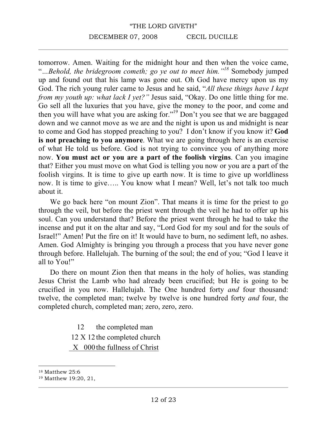tomorrow. Amen. Waiting for the midnight hour and then when the voice came, "*…Behold, the bridegroom cometh; go ye out to meet him."<sup>18</sup>* Somebody jumped up and found out that his lamp was gone out. Oh God have mercy upon us my God. The rich young ruler came to Jesus and he said, "*All these things have I kept from my youth up: what lack I yet?"* Jesus said, "Okay. Do one little thing for me. Go sell all the luxuries that you have, give the money to the poor, and come and then you will have what you are asking for."19 Don't you see that we are baggaged down and we cannot move as we are and the night is upon us and midnight is near to come and God has stopped preaching to you? I don't know if you know it? **God is not preaching to you anymore**. What we are going through here is an exercise of what He told us before. God is not trying to convince you of anything more now. **You must act or you are a part of the foolish virgins**. Can you imagine that? Either you must move on what God is telling you now or you are a part of the foolish virgins. It is time to give up earth now. It is time to give up worldliness now. It is time to give….. You know what I mean? Well, let's not talk too much about it.

We go back here "on mount Zion". That means it is time for the priest to go through the veil, but before the priest went through the veil he had to offer up his soul. Can you understand that? Before the priest went through he had to take the incense and put it on the altar and say, "Lord God for my soul and for the souls of Israel!" Amen! Put the fire on it! It would have to burn, no sediment left, no ashes. Amen. God Almighty is bringing you through a process that you have never gone through before. Hallelujah. The burning of the soul; the end of you; "God I leave it all to You!"

Do there on mount Zion then that means in the holy of holies, was standing Jesus Christ the Lamb who had already been crucified; but He is going to be crucified in you now. Hallelujah. The One hundred forty *and* four thousand: twelve, the completed man; twelve by twelve is one hundred forty *and* four, the completed church, completed man; zero, zero, zero.

12 the completed man

12 X 12 the completed church

X 000 the fullness of Christ

<sup>18</sup> Matthew 25:6

<sup>19</sup> Matthew 19:20, 21,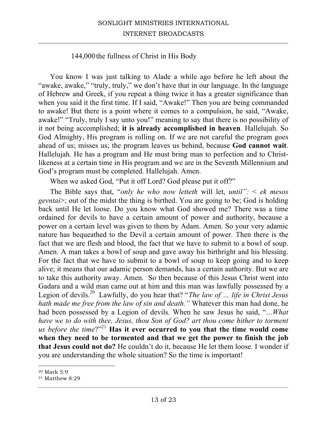## SONLIGHT MINISTRIES INTERNATIONAL INTERNET BROADCASTS

#### 144,000the fullness of Christ in His Body

You know I was just talking to Alade a while ago before he left about the "awake, awake," "truly, truly," we don't have that in our language. In the language of Hebrew and Greek, if you repeat a thing twice it has a greater significance than when you said it the first time. If I said, "Awake!" Then you are being commanded to awake! But there is a point where it comes to a compulsion, he said, "Awake, awake!" "Truly, truly I say unto you!" meaning to say that there is no possibility of it not being accomplished; **it is already accomplished in heaven**. Hallelujah. So God Almighty, His program is rolling on. If we are not careful the program goes ahead of us; misses us; the program leaves us behind, because **God cannot wait**. Hallelujah. He has a program and He must bring man to perfection and to Christlikeness at a certain time in His program and we are in the Seventh Millennium and God's program must be completed. Hallelujah. Amen.

When we asked God, "Put it off Lord? God please put it off?"

The Bible says that, "*only he who now letteth* will let, *until":* < *ek mesos gevntai*>; out of the midst the thing is birthed. You are going to be; God is holding back until He let loose. Do you know what God showed me? There was a time ordained for devils to have a certain amount of power and authority, because a power on a certain level was given to them by Adam. Amen. So your very adamic nature has bequeathed to the Devil a certain amount of power. Then there is the fact that we are flesh and blood, the fact that we have to submit to a bowl of soup. Amen. A man takes a bowl of soup and gave away his birthright and his blessing. For the fact that we have to submit to a bowl of soup to keep going and to keep alive; it means that our adamic person demands, has a certain authority. But we are to take this authority away. Amen. So then because of this Jesus Christ went into Gadara and a wild man came out at him and this man was lawfully possessed by a Legion of devils.20 Lawfully, do you hear that? "*The law of … life in Christ Jesus hath made me free from the law of sin and death."* Whatever this man had done, he had been possessed by a Legion of devils. When he saw Jesus he said, "*…What have we to do with thee, Jesus, thou Son of God? art thou come hither to torment us before the time*?"<sup>21</sup> **Has it ever occurred to you that the time would come when they need to be tormented and that we get the power to finish the job that Jesus could not do?** He couldn't do it, because He let them loose. I wonder if you are understanding the whole situation? So the time is important!

 $\overline{a}$ <sup>20</sup> Mark 5:9

<sup>21</sup> Matthew 8:29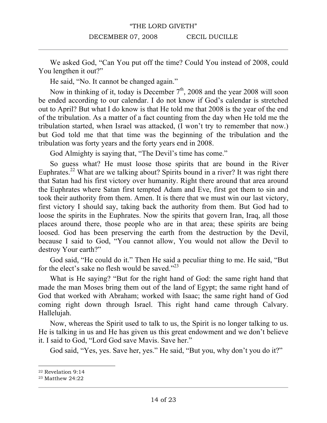We asked God, "Can You put off the time? Could You instead of 2008, could You lengthen it out?"

He said, "No. It cannot be changed again."

Now in thinking of it, today is December  $7<sup>th</sup>$ , 2008 and the year 2008 will soon be ended according to our calendar. I do not know if God's calendar is stretched out to April? But what I do know is that He told me that 2008 is the year of the end of the tribulation. As a matter of a fact counting from the day when He told me the tribulation started, when Israel was attacked, (I won't try to remember that now.) but God told me that that time was the beginning of the tribulation and the tribulation was forty years and the forty years end in 2008.

God Almighty is saying that, "The Devil's time has come."

So guess what? He must loose those spirits that are bound in the River Euphrates.<sup>22</sup> What are we talking about? Spirits bound in a river? It was right there that Satan had his first victory over humanity. Right there around that area around the Euphrates where Satan first tempted Adam and Eve, first got them to sin and took their authority from them. Amen. It is there that we must win our last victory, first victory I should say, taking back the authority from them. But God had to loose the spirits in the Euphrates. Now the spirits that govern Iran, Iraq, all those places around there, those people who are in that area; these spirits are being loosed. God has been preserving the earth from the destruction by the Devil, because I said to God, "You cannot allow, You would not allow the Devil to destroy Your earth?"

God said, "He could do it." Then He said a peculiar thing to me. He said, "But for the elect's sake no flesh would be saved."<sup>23</sup>

What is He saying? "But for the right hand of God: the same right hand that made the man Moses bring them out of the land of Egypt; the same right hand of God that worked with Abraham; worked with Isaac; the same right hand of God coming right down through Israel. This right hand came through Calvary. Hallelujah.

Now, whereas the Spirit used to talk to us, the Spirit is no longer talking to us. He is talking in us and He has given us this great endowment and we don't believe it. I said to God, "Lord God save Mavis. Save her."

God said, "Yes, yes. Save her, yes." He said, "But you, why don't you do it?"

 $\overline{a}$ <sup>22</sup> Revelation 9:14

<sup>23</sup> Matthew 24:22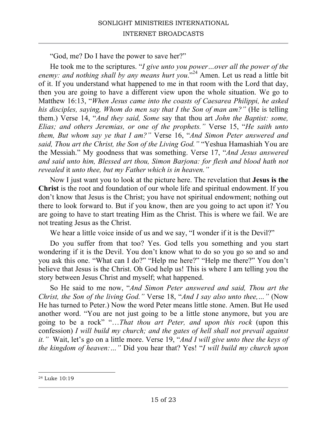"God, me? Do I have the power to save her?"

He took me to the scriptures. "*I give unto you power…over all the power of the*  enemy: and nothing shall by any means hurt you."<sup>24</sup> Amen. Let us read a little bit of it. If you understand what happened to me in that room with the Lord that day, then you are going to have a different view upon the whole situation. We go to Matthew 16:13, "*When Jesus came into the coasts of Caesarea Philippi, he asked his disciples, saying, Whom do men say that I the Son of man am?"* (He is telling them.) Verse 14, "*And they said, Some* say that thou art *John the Baptist: some, Elias; and others Jeremias, or one of the prophets."* Verse 15, "*He saith unto them, But whom say ye that I am?"* Verse 16, "*And Simon Peter answered and said, Thou art the Christ, the Son of the Living God."* "Yeshua Hamashiah You are the Messiah." My goodness that was something. Verse 17, "*And Jesus answered and said unto him, Blessed art thou, Simon Barjona: for flesh and blood hath not revealed* it *unto thee, but my Father which is in heaven."* 

Now I just want you to look at the picture here. The revelation that **Jesus is the Christ** is the root and foundation of our whole life and spiritual endowment. If you don't know that Jesus is the Christ; you have not spiritual endowment; nothing out there to look forward to. But if you know, then are you going to act upon it? You are going to have to start treating Him as the Christ. This is where we fail. We are not treating Jesus as the Christ.

We hear a little voice inside of us and we say, "I wonder if it is the Devil?"

Do you suffer from that too? Yes. God tells you something and you start wondering if it is the Devil. You don't know what to do so you go so and so and you ask this one. "What can I do?" "Help me here?" "Help me there?" You don't believe that Jesus is the Christ. Oh God help us! This is where I am telling you the story between Jesus Christ and myself; what happened.

So He said to me now, "*And Simon Peter answered and said, Thou art the Christ, the Son of the living God."* Verse 18, "*And I say also unto thee,…"* (Now He has turned to Peter.) Now the word Peter means little stone. Amen. But He used another word. "You are not just going to be a little stone anymore, but you are going to be a rock" "…*That thou art Peter, and upon this rock* (upon this confession) *I will build my church; and the gates of hell shall not prevail against it."* Wait, let's go on a little more. Verse 19, "*And I will give unto thee the keys of the kingdom of heaven:…"* Did you hear that? Yes! "*I will build my church upon* 

<sup>24</sup> Luke 10:19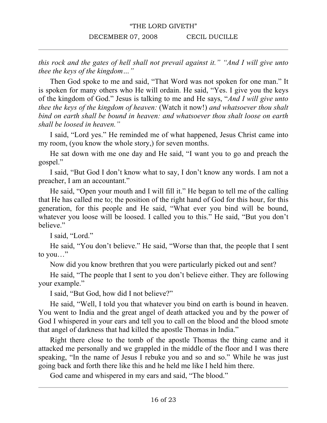*this rock and the gates of hell shall not prevail against it." "And I will give unto thee the keys of the kingdom…"*

Then God spoke to me and said, "That Word was not spoken for one man." It is spoken for many others who He will ordain. He said, "Yes. I give you the keys of the kingdom of God." Jesus is talking to me and He says, "*And I will give unto thee the keys of the kingdom of heaven:* (Watch it now!) *and whatsoever thou shalt bind on earth shall be bound in heaven: and whatsoever thou shalt loose on earth shall be loosed in heaven."* 

I said, "Lord yes." He reminded me of what happened, Jesus Christ came into my room, (you know the whole story,) for seven months.

He sat down with me one day and He said, "I want you to go and preach the gospel."

I said, "But God I don't know what to say, I don't know any words. I am not a preacher, I am an accountant."

He said, "Open your mouth and I will fill it." He began to tell me of the calling that He has called me to; the position of the right hand of God for this hour, for this generation, for this people and He said, "What ever you bind will be bound, whatever you loose will be loosed. I called you to this." He said, "But you don't believe."

I said, "Lord."

He said, "You don't believe." He said, "Worse than that, the people that I sent to you…"

Now did you know brethren that you were particularly picked out and sent?

He said, "The people that I sent to you don't believe either. They are following your example."

I said, "But God, how did I not believe?"

He said, "Well, I told you that whatever you bind on earth is bound in heaven. You went to India and the great angel of death attacked you and by the power of God I whispered in your ears and tell you to call on the blood and the blood smote that angel of darkness that had killed the apostle Thomas in India."

Right there close to the tomb of the apostle Thomas the thing came and it attacked me personally and we grappled in the middle of the floor and I was there speaking, "In the name of Jesus I rebuke you and so and so." While he was just going back and forth there like this and he held me like I held him there.

God came and whispered in my ears and said, "The blood."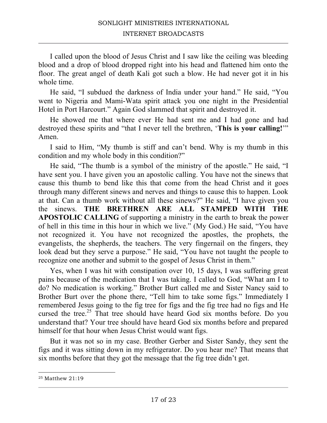I called upon the blood of Jesus Christ and I saw like the ceiling was bleeding blood and a drop of blood dropped right into his head and flattened him onto the floor. The great angel of death Kali got such a blow. He had never got it in his whole time.

He said, "I subdued the darkness of India under your hand." He said, "You went to Nigeria and Mami-Wata spirit attack you one night in the Presidential Hotel in Port Harcourt." Again God slammed that spirit and destroyed it.

He showed me that where ever He had sent me and I had gone and had destroyed these spirits and "that I never tell the brethren, '**This is your calling!**'" Amen.

I said to Him, "My thumb is stiff and can't bend. Why is my thumb in this condition and my whole body in this condition?"

He said, "The thumb is a symbol of the ministry of the apostle." He said, "I have sent you. I have given you an apostolic calling. You have not the sinews that cause this thumb to bend like this that come from the head Christ and it goes through many different sinews and nerves and things to cause this to happen. Look at that. Can a thumb work without all these sinews?" He said, "I have given you the sinews. **THE BRETHREN ARE ALL STAMPED WITH THE APOSTOLIC CALLING** of supporting a ministry in the earth to break the power of hell in this time in this hour in which we live." (My God.) He said, "You have not recognized it. You have not recognized the apostles, the prophets, the evangelists, the shepherds, the teachers. The very fingernail on the fingers, they look dead but they serve a purpose." He said, "You have not taught the people to recognize one another and submit to the gospel of Jesus Christ in them."

Yes, when I was hit with constipation over 10, 15 days, I was suffering great pains because of the medication that I was taking. I called to God, "What am I to do? No medication is working." Brother Burt called me and Sister Nancy said to Brother Burt over the phone there, "Tell him to take some figs." Immediately I remembered Jesus going to the fig tree for figs and the fig tree had no figs and He cursed the tree.<sup>25</sup> That tree should have heard God six months before. Do you understand that? Your tree should have heard God six months before and prepared himself for that hour when Jesus Christ would want figs.

But it was not so in my case. Brother Gerber and Sister Sandy, they sent the figs and it was sitting down in my refrigerator. Do you hear me? That means that six months before that they got the message that the fig tree didn't get.

<sup>25</sup> Matthew 21:19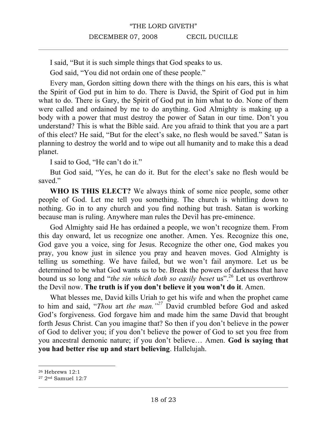I said, "But it is such simple things that God speaks to us.

God said, "You did not ordain one of these people."

Every man, Gordon sitting down there with the things on his ears, this is what the Spirit of God put in him to do. There is David, the Spirit of God put in him what to do. There is Gary, the Spirit of God put in him what to do. None of them were called and ordained by me to do anything. God Almighty is making up a body with a power that must destroy the power of Satan in our time. Don't you understand? This is what the Bible said. Are you afraid to think that you are a part of this elect? He said, "But for the elect's sake, no flesh would be saved." Satan is planning to destroy the world and to wipe out all humanity and to make this a dead planet.

I said to God, "He can't do it."

But God said, "Yes, he can do it. But for the elect's sake no flesh would be saved."

**WHO IS THIS ELECT?** We always think of some nice people, some other people of God. Let me tell you something. The church is whittling down to nothing. Go in to any church and you find nothing but trash. Satan is working because man is ruling. Anywhere man rules the Devil has pre-eminence.

God Almighty said He has ordained a people, we won't recognize them. From this day onward, let us recognize one another. Amen. Yes. Recognize this one, God gave you a voice, sing for Jesus. Recognize the other one, God makes you pray, you know just in silence you pray and heaven moves. God Almighty is telling us something. We have failed, but we won't fail anymore. Let us be determined to be what God wants us to be. Break the powers of darkness that have bound us so long and "*the sin which doth so easily beset* us".<sup>26</sup> Let us overthrow the Devil now. **The truth is if you don't believe it you won't do it**. Amen.

What blesses me, David kills Uriah to get his wife and when the prophet came to him and said, "*Thou* art *the man."<sup>27</sup>* David crumbled before God and asked God's forgiveness. God forgave him and made him the same David that brought forth Jesus Christ. Can you imagine that? So then if you don't believe in the power of God to deliver you; if you don't believe the power of God to set you free from you ancestral demonic nature; if you don't believe… Amen. **God is saying that you had better rise up and start believing**. Hallelujah.

 $\overline{a}$ <sup>26</sup> Hebrews 12:1

<sup>27</sup> 2nd Samuel 12:7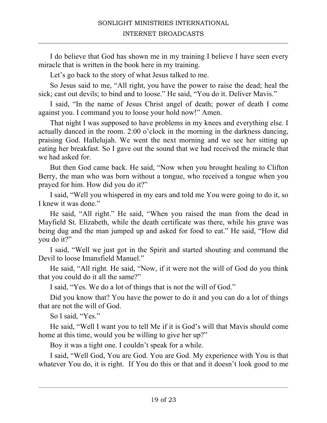I do believe that God has shown me in my training I believe I have seen every miracle that is written in the book here in my training.

Let's go back to the story of what Jesus talked to me.

So Jesus said to me, "All right, you have the power to raise the dead; heal the sick; cast out devils; to bind and to loose." He said, "You do it. Deliver Mavis."

I said, "In the name of Jesus Christ angel of death; power of death I come against you. I command you to loose your hold now!" Amen.

That night I was supposed to have problems in my knees and everything else. I actually danced in the room. 2:00 o'clock in the morning in the darkness dancing, praising God. Hallelujah. We went the next morning and we see her sitting up eating her breakfast. So I gave out the sound that we had received the miracle that we had asked for.

But then God came back. He said, "Now when you brought healing to Clifton Berry, the man who was born without a tongue, who received a tongue when you prayed for him. How did you do it?"

I said, "Well you whispered in my ears and told me You were going to do it, so I knew it was done."

He said, "All right." He said, "When you raised the man from the dead in Mayfield St. Elizabeth, while the death certificate was there, while his grave was being dug and the man jumped up and asked for food to eat." He said, "How did you do it?"

I said, "Well we just got in the Spirit and started shouting and command the Devil to loose Imansfield Manuel."

He said, "All right. He said, "Now, if it were not the will of God do you think that you could do it all the same?"

I said, "Yes. We do a lot of things that is not the will of God."

Did you know that? You have the power to do it and you can do a lot of things that are not the will of God.

So I said, "Yes."

He said, "Well I want you to tell Me if it is God's will that Mavis should come home at this time, would you be willing to give her up?"

Boy it was a tight one. I couldn't speak for a while.

I said, "Well God, You are God. You are God. My experience with You is that whatever You do, it is right. If You do this or that and it doesn't look good to me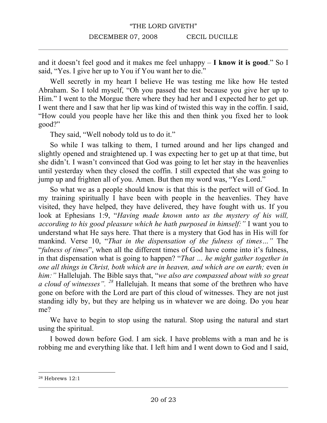and it doesn't feel good and it makes me feel unhappy – **I know it is good**." So I said, "Yes. I give her up to You if You want her to die."

Well secretly in my heart I believe He was testing me like how He tested Abraham. So I told myself, "Oh you passed the test because you give her up to Him." I went to the Morgue there where they had her and I expected her to get up. I went there and I saw that her lip was kind of twisted this way in the coffin. I said, "How could you people have her like this and then think you fixed her to look good?"

They said, "Well nobody told us to do it."

So while I was talking to them, I turned around and her lips changed and slightly opened and straightened up. I was expecting her to get up at that time, but she didn't. I wasn't convinced that God was going to let her stay in the heavenlies until yesterday when they closed the coffin. I still expected that she was going to jump up and frighten all of you. Amen. But then my word was, "Yes Lord."

So what we as a people should know is that this is the perfect will of God. In my training spiritually I have been with people in the heavenlies. They have visited, they have helped, they have delivered, they have fought with us. If you look at Ephesians 1:9, "*Having made known unto us the mystery of his will*, *according to his good pleasure which he hath purposed in himself:"* I want you to understand what He says here. That there is a mystery that God has in His will for mankind. Verse 10, "*That in the dispensation of the fulness of times…"* The "*fulness of times*", when all the different times of God have come into it's fulness, in that dispensation what is going to happen? "*That … he might gather together in one all things in Christ, both which are in heaven, and which are on earth;* even *in him:"* Hallelujah. The Bible says that, "*we also are compassed about with so great a cloud of witnesses". <sup>28</sup>* Hallelujah. It means that some of the brethren who have gone on before with the Lord are part of this cloud of witnesses. They are not just standing idly by, but they are helping us in whatever we are doing. Do you hear me?

We have to begin to stop using the natural. Stop using the natural and start using the spiritual.

I bowed down before God. I am sick. I have problems with a man and he is robbing me and everything like that. I left him and I went down to God and I said,

<sup>28</sup> Hebrews 12:1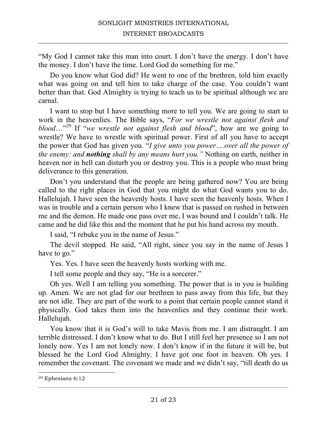"My God I cannot take this man into court. I don't have the energy. I don't have the money. I don't have the time. Lord God do something for me."

Do you know what God did? He went to one of the brethren, told him exactly what was going on and tell him to take charge of the case. You couldn't want better than that. God Almighty is trying to teach us to be spiritual although we are carnal.

I want to stop but I have something more to tell you. We are going to start to work in the heavenlies. The Bible says, "*For we wrestle not against flesh and blood*…"<sup>29</sup> If "*we wrestle not against flesh and blood*", how are we going to wrestle? We have to wrestle with spiritual power. First of all you have to accept the power that God has given you. "*I give unto you power….over all the power of the enemy: and nothing shall by any means hurt you."* Nothing on earth, neither in heaven nor in hell can disturb you or destroy you. This is a people who must bring deliverance to this generation.

Don't you understand that the people are being gathered now? You are being called to the right places in God that you might do what God wants you to do. Hallelujah. I have seen the heavenly hosts. I have seen the heavenly hosts. When I was in trouble and a certain person who I knew that is passed on rushed in between me and the demon. He made one pass over me, I was bound and I couldn't talk. He came and he did like this and the moment that he put his hand across my mouth.

I said, "I rebuke you in the name of Jesus."

The devil stopped. He said, "All right, since you say in the name of Jesus I have to go."

Yes. Yes. I have seen the heavenly hosts working with me.

I tell some people and they say, "He is a sorcerer."

Oh yes. Well I am telling you something. The power that is in you is building up. Amen. We are not glad for our brethren to pass away from this life, but they are not idle. They are part of the work to a point that certain people cannot stand it physically. God takes them into the heavenlies and they continue their work. Hallelujah.

You know that it is God's will to take Mavis from me. I am distraught. I am terrible distressed. I don't know what to do. But I still feel her presence so I am not lonely now. Yes I am not lonely now. I don't know if in the future it will be, but blessed be the Lord God Almighty. I have got one foot in heaven. Oh yes. I remember the covenant. The covenant we made and we didn't say, "till death do us

<sup>29</sup> Ephesians 6:12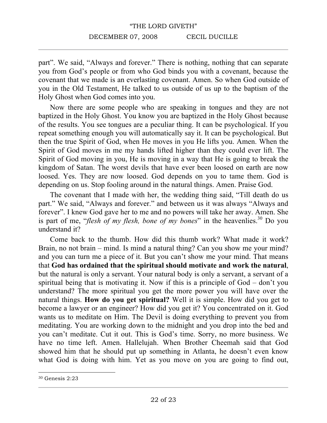part". We said, "Always and forever." There is nothing, nothing that can separate you from God's people or from who God binds you with a covenant, because the covenant that we made is an everlasting covenant. Amen. So when God outside of you in the Old Testament, He talked to us outside of us up to the baptism of the Holy Ghost when God comes into you.

Now there are some people who are speaking in tongues and they are not baptized in the Holy Ghost. You know you are baptized in the Holy Ghost because of the results. You see tongues are a peculiar thing. It can be psychological. If you repeat something enough you will automatically say it. It can be psychological. But then the true Spirit of God, when He moves in you He lifts you. Amen. When the Spirit of God moves in me my hands lifted higher than they could ever lift. The Spirit of God moving in you, He is moving in a way that He is going to break the kingdom of Satan. The worst devils that have ever been loosed on earth are now loosed. Yes. They are now loosed. God depends on you to tame them. God is depending on us. Stop fooling around in the natural things. Amen. Praise God.

The covenant that I made with her, the wedding thing said, "Till death do us part." We said, "Always and forever." and between us it was always "Always and forever". I knew God gave her to me and no powers will take her away. Amen. She is part of me, "*flesh of my flesh, bone of my bones*" in the heavenlies.<sup>30</sup> Do you understand it?

Come back to the thumb. How did this thumb work? What made it work? Brain, no not brain – mind. Is mind a natural thing? Can you show me your mind? and you can turn me a piece of it. But you can't show me your mind. That means that **God has ordained that the spiritual should motivate and work the natural**, but the natural is only a servant. Your natural body is only a servant, a servant of a spiritual being that is motivating it. Now if this is a principle of God – don't you understand? The more spiritual you get the more power you will have over the natural things. **How do you get spiritual?** Well it is simple. How did you get to become a lawyer or an engineer? How did you get it? You concentrated on it. God wants us to meditate on Him. The Devil is doing everything to prevent you from meditating. You are working down to the midnight and you drop into the bed and you can't meditate. Cut it out. This is God's time. Sorry, no more business. We have no time left. Amen. Hallelujah. When Brother Cheemah said that God showed him that he should put up something in Atlanta, he doesn't even know what God is doing with him. Yet as you move on you are going to find out,

<sup>30</sup> Genesis 2:23